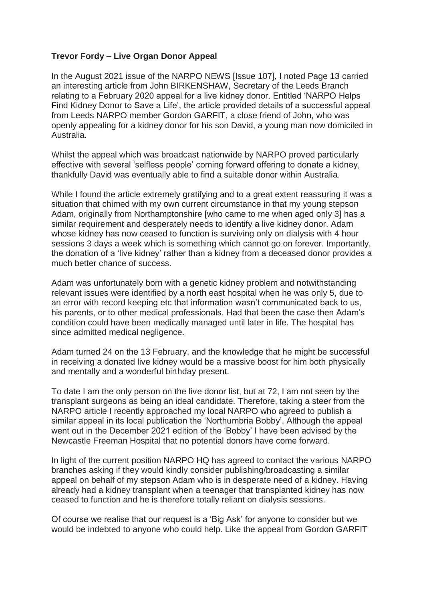## **Trevor Fordy – Live Organ Donor Appeal**

In the August 2021 issue of the NARPO NEWS [Issue 107], I noted Page 13 carried an interesting article from John BIRKENSHAW, Secretary of the Leeds Branch relating to a February 2020 appeal for a live kidney donor. Entitled 'NARPO Helps Find Kidney Donor to Save a Life', the article provided details of a successful appeal from Leeds NARPO member Gordon GARFIT, a close friend of John, who was openly appealing for a kidney donor for his son David, a young man now domiciled in Australia.

Whilst the appeal which was broadcast nationwide by NARPO proved particularly effective with several 'selfless people' coming forward offering to donate a kidney, thankfully David was eventually able to find a suitable donor within Australia.

While I found the article extremely gratifying and to a great extent reassuring it was a situation that chimed with my own current circumstance in that my young stepson Adam, originally from Northamptonshire [who came to me when aged only 3] has a similar requirement and desperately needs to identify a live kidney donor. Adam whose kidney has now ceased to function is surviving only on dialysis with 4 hour sessions 3 days a week which is something which cannot go on forever. Importantly, the donation of a 'live kidney' rather than a kidney from a deceased donor provides a much better chance of success.

Adam was unfortunately born with a genetic kidney problem and notwithstanding relevant issues were identified by a north east hospital when he was only 5, due to an error with record keeping etc that information wasn't communicated back to us, his parents, or to other medical professionals. Had that been the case then Adam's condition could have been medically managed until later in life. The hospital has since admitted medical negligence.

Adam turned 24 on the 13 February, and the knowledge that he might be successful in receiving a donated live kidney would be a massive boost for him both physically and mentally and a wonderful birthday present.

To date I am the only person on the live donor list, but at 72, I am not seen by the transplant surgeons as being an ideal candidate. Therefore, taking a steer from the NARPO article I recently approached my local NARPO who agreed to publish a similar appeal in its local publication the 'Northumbria Bobby'. Although the appeal went out in the December 2021 edition of the 'Bobby' I have been advised by the Newcastle Freeman Hospital that no potential donors have come forward.

In light of the current position NARPO HQ has agreed to contact the various NARPO branches asking if they would kindly consider publishing/broadcasting a similar appeal on behalf of my stepson Adam who is in desperate need of a kidney. Having already had a kidney transplant when a teenager that transplanted kidney has now ceased to function and he is therefore totally reliant on dialysis sessions.

Of course we realise that our request is a 'Big Ask' for anyone to consider but we would be indebted to anyone who could help. Like the appeal from Gordon GARFIT